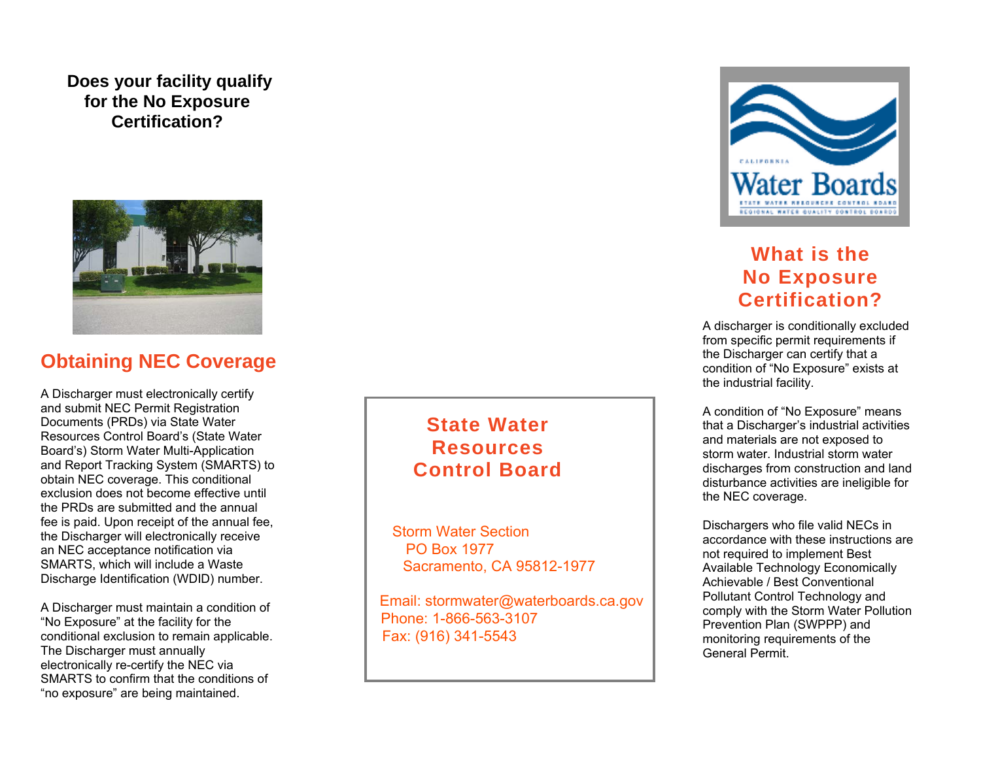### **Does your facility qualify for the No Exposure Certification?**



#### $\overline{\phantom{0}}$ **Obtaining NEC Coverage**

A Discharger must electronically certify and submit NEC Permit Registration Documents (PRDs) via State Water Resources Control Board's (State Water Board's) Storm Water Multi-Application and Report Tracking System (SMARTS) to obtain NEC coverage. This conditional exclusion does not become effective until the PRDs are submitted and the annual fee is paid. Upon receipt of the annual fee, the Discharger will electronically receive an NEC acceptance notification via SMARTS, which will include a Waste Discharge Identification (WDID) number.

A Discharger must maintain a condition of "No Exposure" at the facility for the conditional exclusion to remain applicable. The Discharger must annually electronically re-certify the NEC via SMARTS to confirm that the conditions of "no exposure" are being maintained.

## **State Water Resources Control Board**

Storm Water Section PO Box 1977 Sacramento, CA 95812-1977

 Email: stormwater@waterboards.ca.gov Phone: 1-866-563-3107 Fax: (916) 341-5543



# **No Exposure What is the Certification?**

A discharger is conditionally excluded from specific permit requirements if the Discharger can certify that a condition of "No Exposure" exists at the industrial facility.

A condition of "No Exposure" means that a Discharger's industrial activities and materials are not exposed to storm water. Industrial storm water discharges from construction and land disturbance activities are ineligible for the NEC coverage.

Dischargers who file valid NECs in accordance with these instructions are not required to implement Best Available Technology Economically Achievable / Best Conventional Pollutant Control Technology and comply with the Storm Water Pollution Prevention Plan (SWPPP) and monitoring requirements of the General Permit.